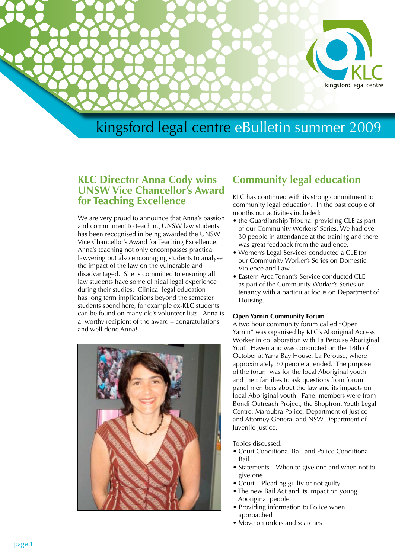

## **KLC Director Anna Cody wins UNSW Vice Chancellor's Award for Teaching Excellence**

We are very proud to announce that Anna's passion and commitment to teaching UNSW law students has been recognised in being awarded the UNSW Vice Chancellor's Award for Teaching Excellence. Anna's teaching not only encompasses practical lawyering but also encouraging students to analyse the impact of the law on the vulnerable and disadvantaged. She is committed to ensuring all law students have some clinical legal experience during their studies. Clinical legal education has long term implications beyond the semester students spend here, for example ex-KLC students can be found on many clc's volunteer lists. Anna is a worthy recipient of the award – congratulations and well done Anna!



# **Community legal education**

KLC has continued with its strong commitment to community legal education. In the past couple of months our activities included:

- the Guardianship Tribunal providing CLE as part of our Community Workers' Series. We had over 30 people in attendance at the training and there was great feedback from the audience.
- Women's Legal Services conducted a CLE for our Community Worker's Series on Domestic Violence and Law.
- Eastern Area Tenant's Service conducted CLE as part of the Community Worker's Series on tenancy with a particular focus on Department of Housing.

### **Open Yarnin Community Forum**

A two hour community forum called "Open Yarnin" was organised by KLC's Aboriginal Access Worker in collaboration with La Perouse Aboriginal Youth Haven and was conducted on the 18th of October at Yarra Bay House, La Perouse, where approximately 30 people attended. The purpose of the forum was for the local Aboriginal youth and their families to ask questions from forum panel members about the law and its impacts on local Aboriginal youth. Panel members were from Bondi Outreach Project, the Shopfront Youth Legal Centre, Maroubra Police, Department of Justice and Attorney General and NSW Department of Juvenile Justice.

Topics discussed:

- Court Conditional Bail and Police Conditional Bail
- Statements When to give one and when not to give one
- Court Pleading guilty or not guilty
- The new Bail Act and its impact on young Aboriginal people
- Providing information to Police when approached
- Move on orders and searches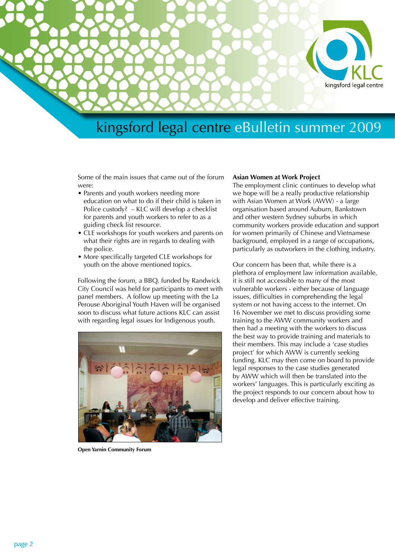

Some of the main issues that came out of the forum were:

- Parents and youth workers needing more education on what to do if their child is taken in Police custody? – KLC will develop a checklist for parents and youth workers to refer to as a guiding check list resource.
- CLE workshops for youth workers and parents on what their rights are in regards to dealing with the police.
- More specifically targeted CLE workshops for youth on the above mentioned topics.

Following the forum, a BBQ, funded by Randwick City Council was held for participants to meet with panel members. A follow up meeting with the La Perouse Aboriginal Youth Haven will be organised soon to discuss what future actions KLC can assist with regarding legal issues for Indigenous youth.



**Open Yarnin Community Forum**

#### **Asian Women at Work Project**

The employment clinic continues to develop what we hope will be a really productive relationship with Asian Women at Work (AWW) - a large organisation based around Auburn, Bankstown and other western Sydney suburbs in which community workers provide education and support for women primarily of Chinese and Vietnamese background, employed in a range of occupations, particularly as outworkers in the clothing industry.

Our concern has been that, while there is a plethora of employment law information available, it is still not accessible to many of the most vulnerable workers - either because of language issues, difficulties in comprehending the legal system or not having access to the internet. On 16 November we met to discuss providing some training to the AWW community workers and then had a meeting with the workers to discuss the best way to provide training and materials to their members. This may include a 'case studies project' for which AWW is currently seeking funding. KLC may then come on board to provide legal responses to the case studies generated by AWW which will then be translated into the workers' languages. This is particularly exciting as the project responds to our concern about how to develop and deliver effective training.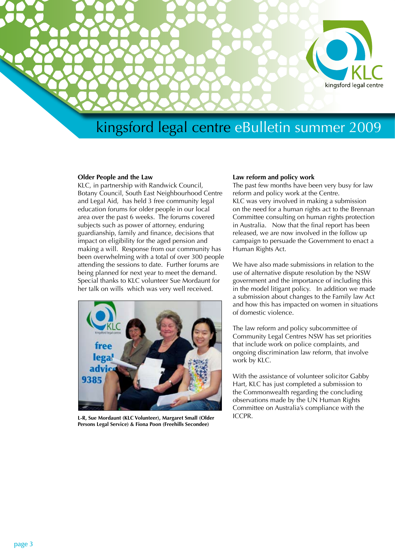

#### **Older People and the Law**

KLC, in partnership with Randwick Council, Botany Council, South East Neighbourhood Centre and Legal Aid, has held 3 free community legal education forums for older people in our local area over the past 6 weeks. The forums covered subjects such as power of attorney, enduring guardianship, family and finance, decisions that impact on eligibility for the aged pension and making a will. Response from our community has been overwhelming with a total of over 300 people attending the sessions to date. Further forums are being planned for next year to meet the demand. Special thanks to KLC volunteer Sue Mordaunt for her talk on wills which was very well received.



**L-R, Sue Mordaunt (KLC Volunteer), Margaret Small (Older Persons Legal Service) & Fiona Poon (Freehills Secondee)**

#### **Law reform and policy work**

The past few months have been very busy for law reform and policy work at the Centre. KLC was very involved in making a submission on the need for a human rights act to the Brennan Committee consulting on human rights protection in Australia. Now that the final report has been released, we are now involved in the follow up campaign to persuade the Government to enact a Human Rights Act.

We have also made submissions in relation to the use of alternative dispute resolution by the NSW government and the importance of including this in the model litigant policy. In addition we made a submission about changes to the Family law Act and how this has impacted on women in situations of domestic violence.

The law reform and policy subcommittee of Community Legal Centres NSW has set priorities that include work on police complaints, and ongoing discrimination law reform, that involve work by KLC.

With the assistance of volunteer solicitor Gabby Hart, KLC has just completed a submission to the Commonwealth regarding the concluding observations made by the UN Human Rights Committee on Australia's compliance with the ICCPR.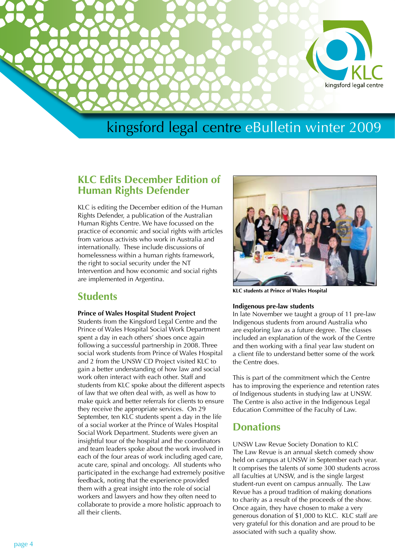

# kingsford legal centre eBulletin winter 2009

## **KLC Edits December Edition of Human Rights Defender**

KLC is editing the December edition of the Human Rights Defender, a publication of the Australian Human Rights Centre. We have focussed on the practice of economic and social rights with articles from various activists who work in Australia and internationally. These include discussions of homelessness within a human rights framework, the right to social security under the NT Intervention and how economic and social rights are implemented in Argentina.

## **Students**

#### **Prince of Wales Hospital Student Project**

Students from the Kingsford Legal Centre and the Prince of Wales Hospital Social Work Department spent a day in each others' shoes once again following a successful partnership in 2008. Three social work students from Prince of Wales Hospital and 2 from the UNSW CD Project visited KLC to gain a better understanding of how law and social work often interact with each other. Staff and students from KLC spoke about the different aspects of law that we often deal with, as well as how to make quick and better referrals for clients to ensure they receive the appropriate services. On 29 September, ten KLC students spent a day in the life of a social worker at the Prince of Wales Hospital Social Work Department. Students were given an insightful tour of the hospital and the coordinators and team leaders spoke about the work involved in each of the four areas of work including aged care, acute care, spinal and oncology. All students who participated in the exchange had extremely positive feedback, noting that the experience provided them with a great insight into the role of social workers and lawyers and how they often need to collaborate to provide a more holistic approach to all their clients.



**KLC students at Prince of Wales Hospital**

### **Indigenous pre-law students**

In late November we taught a group of 11 pre-law Indigenous students from around Australia who are exploring law as a future degree. The classes included an explanation of the work of the Centre and then working with a final year law student on a client file to understand better some of the work the Centre does.

This is part of the commitment which the Centre has to improving the experience and retention rates of Indigenous students in studying law at UNSW. The Centre is also active in the Indigenous Legal Education Committee of the Faculty of Law.

## **Donations**

UNSW Law Revue Society Donation to KLC The Law Revue is an annual sketch comedy show held on campus at UNSW in September each year. It comprises the talents of some 300 students across all faculties at UNSW, and is the single largest student-run event on campus annually. The Law Revue has a proud tradition of making donations to charity as a result of the proceeds of the show. Once again, they have chosen to make a very generous donation of \$1,000 to KLC. KLC staff are very grateful for this donation and are proud to be associated with such a quality show.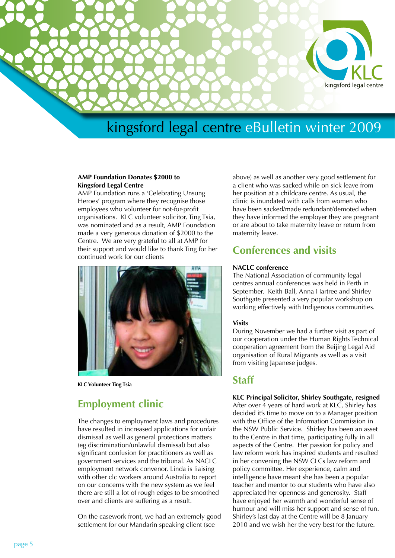

# kingsford legal centre eBulletin winter 2009

#### **AMP Foundation Donates \$2000 to Kingsford Legal Centre**

AMP Foundation runs a 'Celebrating Unsung Heroes' program where they recognise those employees who volunteer for not-for-profit organisations. KLC volunteer solicitor, Ting Tsia, was nominated and as a result, AMP Foundation made a very generous donation of \$2000 to the Centre. We are very grateful to all at AMP for their support and would like to thank Ting for her continued work for our clients



**KLC Volunteer Ting Tsia**

## **Employment clinic**

The changes to employment laws and procedures have resulted in increased applications for unfair dismissal as well as general protections matters (eg discrimination/unlawful dismissal) but also significant confusion for practitioners as well as government services and the tribunal. As NACLC employment network convenor, Linda is liaising with other clc workers around Australia to report on our concerns with the new system as we feel there are still a lot of rough edges to be smoothed over and clients are suffering as a result.

On the casework front, we had an extremely good settlement for our Mandarin speaking client (see

above) as well as another very good settlement for a client who was sacked while on sick leave from her position at a childcare centre. As usual, the clinic is inundated with calls from women who have been sacked/made redundant/demoted when they have informed the employer they are pregnant or are about to take maternity leave or return from maternity leave.

## **Conferences and visits**

### **NACLC conference**

The National Association of community legal centres annual conferences was held in Perth in September. Keith Ball, Anna Hartree and Shirley Southgate presented a very popular workshop on working effectively with Indigenous communities.

#### **Visits**

During November we had a further visit as part of our cooperation under the Human Rights Technical cooperation agreement from the Beijing Legal Aid organisation of Rural Migrants as well as a visit from visiting Japanese judges.

### **Staff**

### **KLC Principal Solicitor, Shirley Southgate, resigned**

After over 4 years of hard work at KLC, Shirley has decided it's time to move on to a Manager position with the Office of the Information Commission in the NSW Public Service. Shirley has been an asset to the Centre in that time, participating fully in all aspects of the Centre. Her passion for policy and law reform work has inspired students and resulted in her convening the NSW CLCs law reform and policy committee. Her experience, calm and intelligence have meant she has been a popular teacher and mentor to our students who have also appreciated her openness and generosity. Staff have enjoyed her warmth and wonderful sense of humour and will miss her support and sense of fun. Shirley's last day at the Centre will be 8 January 2010 and we wish her the very best for the future.